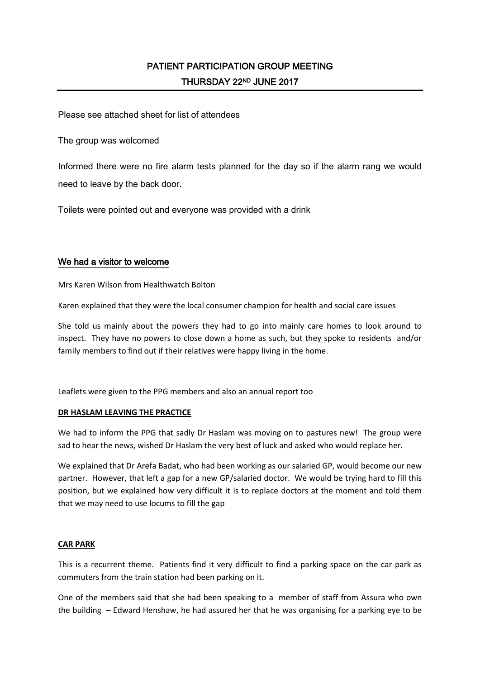Please see attached sheet for list of attendees

The group was welcomed

Informed there were no fire alarm tests planned for the day so if the alarm rang we would need to leave by the back door.

Toilets were pointed out and everyone was provided with a drink

## We had a visitor to welcome

Mrs Karen Wilson from Healthwatch Bolton

Karen explained that they were the local consumer champion for health and social care issues

She told us mainly about the powers they had to go into mainly care homes to look around to inspect. They have no powers to close down a home as such, but they spoke to residents and/or family members to find out if their relatives were happy living in the home.

Leaflets were given to the PPG members and also an annual report too

## **DR HASLAM LEAVING THE PRACTICE**

We had to inform the PPG that sadly Dr Haslam was moving on to pastures new! The group were sad to hear the news, wished Dr Haslam the very best of luck and asked who would replace her.

We explained that Dr Arefa Badat, who had been working as our salaried GP, would become our new partner. However, that left a gap for a new GP/salaried doctor. We would be trying hard to fill this position, but we explained how very difficult it is to replace doctors at the moment and told them that we may need to use locums to fill the gap

## **CAR PARK**

This is a recurrent theme. Patients find it very difficult to find a parking space on the car park as commuters from the train station had been parking on it.

One of the members said that she had been speaking to a member of staff from Assura who own the building – Edward Henshaw, he had assured her that he was organising for a parking eye to be